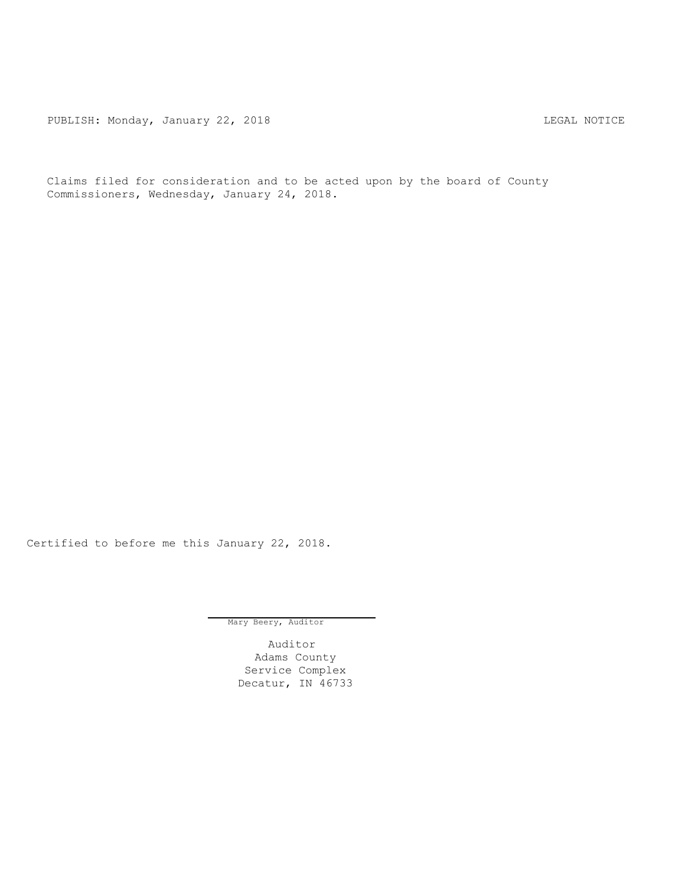PUBLISH: Monday, January 22, 2018 CHA CHANGE CONSTRUCTED AND THE LEGAL NOTICE

Claims filed for consideration and to be acted upon by the board of County Commissioners, Wednesday, January 24, 2018.

Certified to before me this January 22, 2018.

Mary Beery, Auditor

Auditor Adams County Service Complex Decatur, IN 46733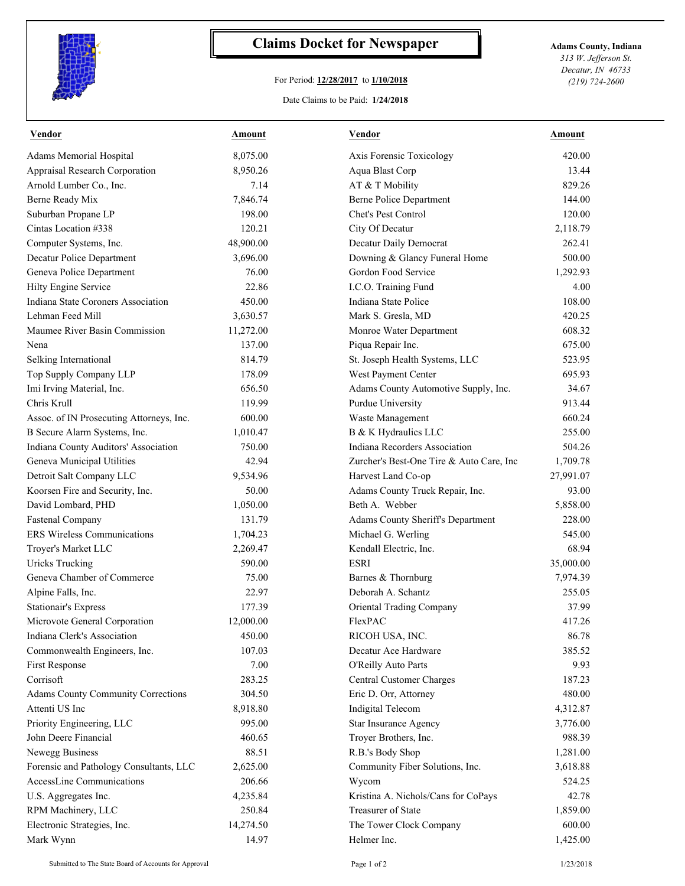

## **Claims Docket for Newspaper Adams County, Indiana**

## For Period: **12/28/2017** to **1/10/2018**

*313 W. Jefferson St. Decatur, IN 46733 (219) 724-2600*

## Date Claims to be Paid: **1/24/2018**

| <b>Vendor</b>                            | <u>Amount</u> | <b>Vendor</b>                            | Amount    |
|------------------------------------------|---------------|------------------------------------------|-----------|
| Adams Memorial Hospital                  | 8,075.00      | Axis Forensic Toxicology                 | 420.00    |
| Appraisal Research Corporation           | 8,950.26      | Aqua Blast Corp                          | 13.44     |
| Arnold Lumber Co., Inc.                  | 7.14          | AT & T Mobility                          | 829.26    |
| Berne Ready Mix                          | 7,846.74      | <b>Berne Police Department</b>           | 144.00    |
| Suburban Propane LP                      | 198.00        | Chet's Pest Control                      | 120.00    |
| Cintas Location #338                     | 120.21        | City Of Decatur                          | 2,118.79  |
| Computer Systems, Inc.                   | 48,900.00     | Decatur Daily Democrat                   | 262.41    |
| Decatur Police Department                | 3,696.00      | Downing & Glancy Funeral Home            | 500.00    |
| Geneva Police Department                 | 76.00         | Gordon Food Service                      | 1,292.93  |
| Hilty Engine Service                     | 22.86         | I.C.O. Training Fund                     | 4.00      |
| Indiana State Coroners Association       | 450.00        | Indiana State Police                     | 108.00    |
| Lehman Feed Mill                         | 3,630.57      | Mark S. Gresla, MD                       | 420.25    |
| Maumee River Basin Commission            | 11,272.00     | Monroe Water Department                  | 608.32    |
| Nena                                     | 137.00        | Piqua Repair Inc.                        | 675.00    |
| Selking International                    | 814.79        | St. Joseph Health Systems, LLC           | 523.95    |
| Top Supply Company LLP                   | 178.09        | West Payment Center                      | 695.93    |
| Imi Irving Material, Inc.                | 656.50        | Adams County Automotive Supply, Inc.     | 34.67     |
| Chris Krull                              | 119.99        | Purdue University                        | 913.44    |
| Assoc. of IN Prosecuting Attorneys, Inc. | 600.00        | Waste Management                         | 660.24    |
| B Secure Alarm Systems, Inc.             | 1,010.47      | B & K Hydraulics LLC                     | 255.00    |
| Indiana County Auditors' Association     | 750.00        | Indiana Recorders Association            | 504.26    |
| Geneva Municipal Utilities               | 42.94         | Zurcher's Best-One Tire & Auto Care, Inc | 1,709.78  |
| Detroit Salt Company LLC                 | 9,534.96      | Harvest Land Co-op                       | 27,991.07 |
| Koorsen Fire and Security, Inc.          | 50.00         | Adams County Truck Repair, Inc.          | 93.00     |
| David Lombard, PHD                       | 1,050.00      | Beth A. Webber                           | 5,858.00  |
| <b>Fastenal Company</b>                  | 131.79        | Adams County Sheriff's Department        | 228.00    |
| <b>ERS Wireless Communications</b>       | 1,704.23      | Michael G. Werling                       | 545.00    |
| Troyer's Market LLC                      | 2,269.47      | Kendall Electric, Inc.                   | 68.94     |
| <b>Uricks Trucking</b>                   | 590.00        | <b>ESRI</b>                              | 35,000.00 |
| Geneva Chamber of Commerce               | 75.00         | Barnes & Thornburg                       | 7,974.39  |
| Alpine Falls, Inc.                       | 22.97         | Deborah A. Schantz                       | 255.05    |
| <b>Stationair's Express</b>              | 177.39        | <b>Oriental Trading Company</b>          | 37.99     |
| Microvote General Corporation            | 12,000.00     | FlexPAC                                  | 417.26    |
| Indiana Clerk's Association              | 450.00        | RICOH USA, INC.                          | 86.78     |
| Commonwealth Engineers, Inc.             | 107.03        | Decatur Ace Hardware                     | 385.52    |
| First Response                           | 7.00          | O'Reilly Auto Parts                      | 9.93      |
| Corrisoft                                | 283.25        | Central Customer Charges                 | 187.23    |
| Adams County Community Corrections       | 304.50        | Eric D. Orr, Attorney                    | 480.00    |
| Attenti US Inc                           | 8,918.80      | Indigital Telecom                        | 4,312.87  |
| Priority Engineering, LLC                | 995.00        | Star Insurance Agency                    | 3,776.00  |
| John Deere Financial                     | 460.65        | Troyer Brothers, Inc.                    | 988.39    |
| Newegg Business                          | 88.51         | R.B.'s Body Shop                         | 1,281.00  |
| Forensic and Pathology Consultants, LLC  | 2,625.00      | Community Fiber Solutions, Inc.          | 3,618.88  |
| AccessLine Communications                | 206.66        | Wycom                                    | 524.25    |
| U.S. Aggregates Inc.                     | 4,235.84      | Kristina A. Nichols/Cans for CoPays      | 42.78     |
| RPM Machinery, LLC                       | 250.84        | Treasurer of State                       | 1,859.00  |
| Electronic Strategies, Inc.              | 14,274.50     | The Tower Clock Company                  | 600.00    |
| Mark Wynn                                | 14.97         | Helmer Inc.                              | 1,425.00  |